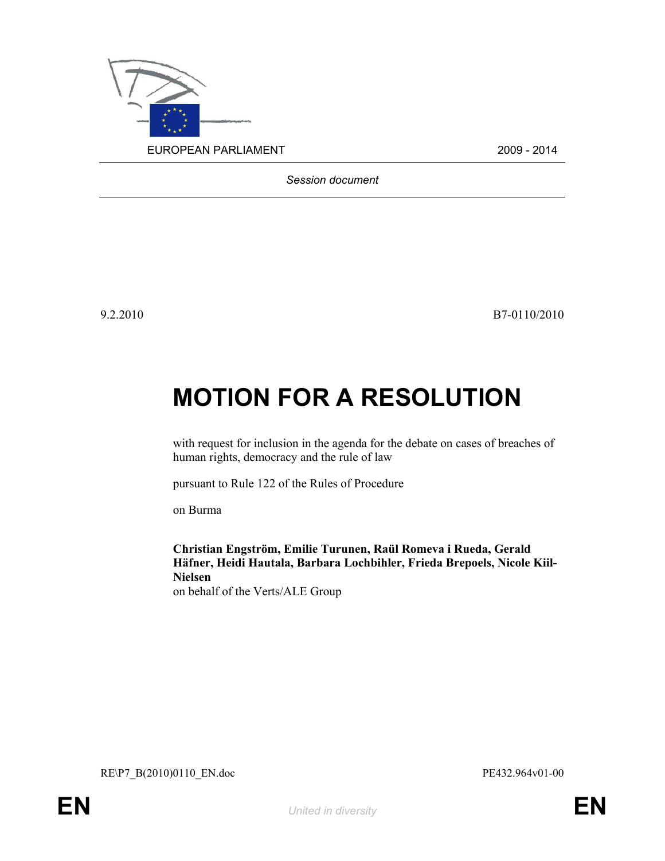

Session document

9.2.2010 B7-0110/2010

## MOTION FOR A RESOLUTION

with request for inclusion in the agenda for the debate on cases of breaches of human rights, democracy and the rule of law

pursuant to Rule 122 of the Rules of Procedure

on Burma

Christian Engström, Emilie Turunen, Raül Romeva i Rueda, Gerald Häfner, Heidi Hautala, Barbara Lochbihler, Frieda Brepoels, Nicole Kiil-Nielsen on behalf of the Verts/ALE Group

RE\P7\_B(2010)0110\_EN.doc PE432.964v01-00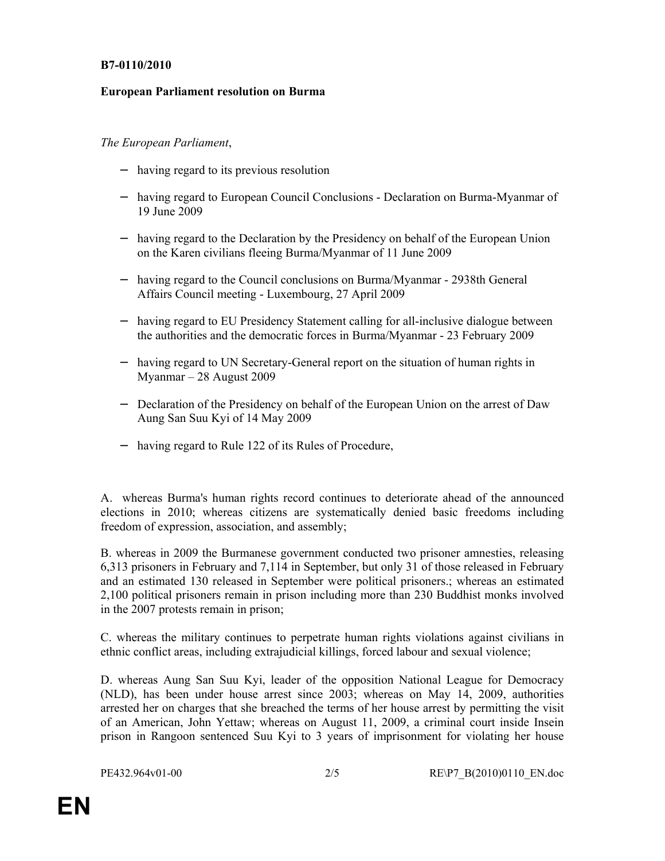## B7-0110/2010

## European Parliament resolution on Burma

## The European Parliament,

- − having regard to its previous resolution
- − having regard to European Council Conclusions Declaration on Burma-Myanmar of 19 June 2009
- − having regard to the Declaration by the Presidency on behalf of the European Union on the Karen civilians fleeing Burma/Myanmar of 11 June 2009
- − having regard to the Council conclusions on Burma/Myanmar 2938th General Affairs Council meeting - Luxembourg, 27 April 2009
- − having regard to EU Presidency Statement calling for all-inclusive dialogue between the authorities and the democratic forces in Burma/Myanmar - 23 February 2009
- − having regard to UN Secretary-General report on the situation of human rights in Myanmar – 28 August 2009
- − Declaration of the Presidency on behalf of the European Union on the arrest of Daw Aung San Suu Kyi of 14 May 2009
- − having regard to Rule 122 of its Rules of Procedure,

A. whereas Burma's human rights record continues to deteriorate ahead of the announced elections in 2010; whereas citizens are systematically denied basic freedoms including freedom of expression, association, and assembly;

B. whereas in 2009 the Burmanese government conducted two prisoner amnesties, releasing 6,313 prisoners in February and 7,114 in September, but only 31 of those released in February and an estimated 130 released in September were political prisoners.; whereas an estimated 2,100 political prisoners remain in prison including more than 230 Buddhist monks involved in the 2007 protests remain in prison;

C. whereas the military continues to perpetrate human rights violations against civilians in ethnic conflict areas, including extrajudicial killings, forced labour and sexual violence;

D. whereas Aung San Suu Kyi, leader of the opposition National League for Democracy (NLD), has been under house arrest since 2003; whereas on May 14, 2009, authorities arrested her on charges that she breached the terms of her house arrest by permitting the visit of an American, John Yettaw; whereas on August 11, 2009, a criminal court inside Insein prison in Rangoon sentenced Suu Kyi to 3 years of imprisonment for violating her house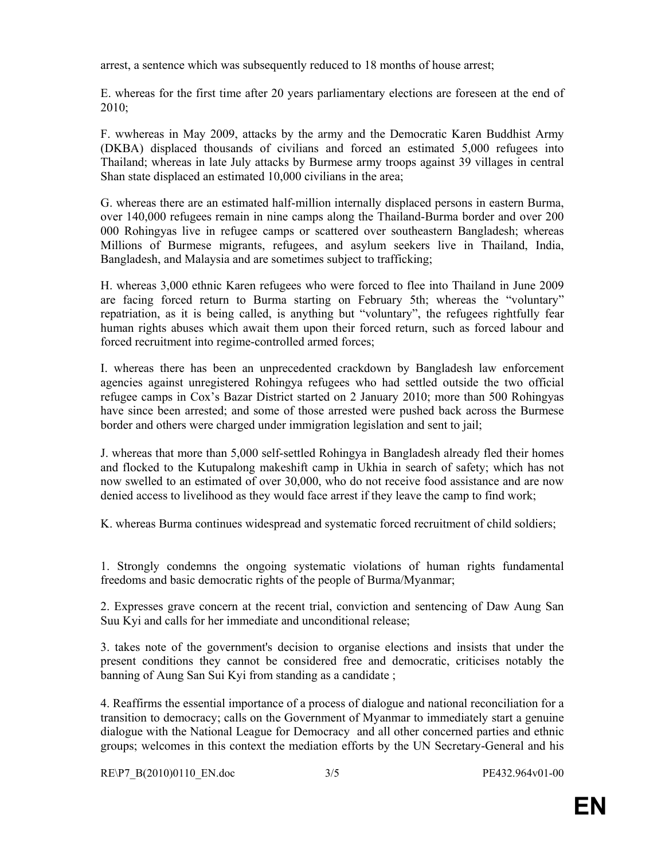arrest, a sentence which was subsequently reduced to 18 months of house arrest;

E. whereas for the first time after 20 years parliamentary elections are foreseen at the end of 2010;

F. wwhereas in May 2009, attacks by the army and the Democratic Karen Buddhist Army (DKBA) displaced thousands of civilians and forced an estimated 5,000 refugees into Thailand; whereas in late July attacks by Burmese army troops against 39 villages in central Shan state displaced an estimated 10,000 civilians in the area;

G. whereas there are an estimated half-million internally displaced persons in eastern Burma, over 140,000 refugees remain in nine camps along the Thailand-Burma border and over 200 000 Rohingyas live in refugee camps or scattered over southeastern Bangladesh; whereas Millions of Burmese migrants, refugees, and asylum seekers live in Thailand, India, Bangladesh, and Malaysia and are sometimes subject to trafficking;

H. whereas 3,000 ethnic Karen refugees who were forced to flee into Thailand in June 2009 are facing forced return to Burma starting on February 5th; whereas the "voluntary" repatriation, as it is being called, is anything but "voluntary", the refugees rightfully fear human rights abuses which await them upon their forced return, such as forced labour and forced recruitment into regime-controlled armed forces;

I. whereas there has been an unprecedented crackdown by Bangladesh law enforcement agencies against unregistered Rohingya refugees who had settled outside the two official refugee camps in Cox's Bazar District started on 2 January 2010; more than 500 Rohingyas have since been arrested; and some of those arrested were pushed back across the Burmese border and others were charged under immigration legislation and sent to jail;

J. whereas that more than 5,000 self-settled Rohingya in Bangladesh already fled their homes and flocked to the Kutupalong makeshift camp in Ukhia in search of safety; which has not now swelled to an estimated of over 30,000, who do not receive food assistance and are now denied access to livelihood as they would face arrest if they leave the camp to find work;

K. whereas Burma continues widespread and systematic forced recruitment of child soldiers;

1. Strongly condemns the ongoing systematic violations of human rights fundamental freedoms and basic democratic rights of the people of Burma/Myanmar;

2. Expresses grave concern at the recent trial, conviction and sentencing of Daw Aung San Suu Kyi and calls for her immediate and unconditional release;

3. takes note of the government's decision to organise elections and insists that under the present conditions they cannot be considered free and democratic, criticises notably the banning of Aung San Sui Kyi from standing as a candidate ;

4. Reaffirms the essential importance of a process of dialogue and national reconciliation for a transition to democracy; calls on the Government of Myanmar to immediately start a genuine dialogue with the National League for Democracy and all other concerned parties and ethnic groups; welcomes in this context the mediation efforts by the UN Secretary-General and his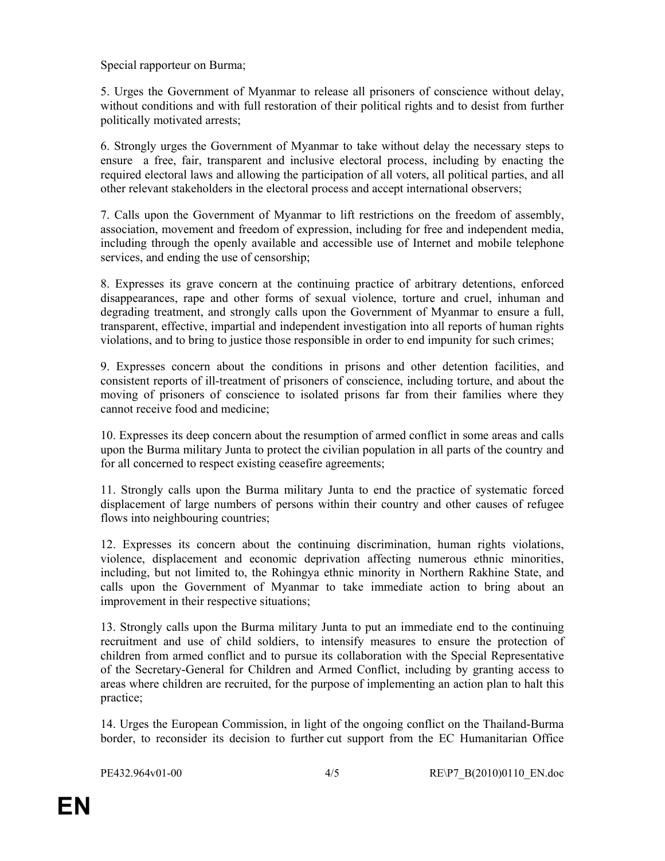Special rapporteur on Burma;

5. Urges the Government of Myanmar to release all prisoners of conscience without delay, without conditions and with full restoration of their political rights and to desist from further politically motivated arrests;

6. Strongly urges the Government of Myanmar to take without delay the necessary steps to ensure a free, fair, transparent and inclusive electoral process, including by enacting the required electoral laws and allowing the participation of all voters, all political parties, and all other relevant stakeholders in the electoral process and accept international observers;

7. Calls upon the Government of Myanmar to lift restrictions on the freedom of assembly, association, movement and freedom of expression, including for free and independent media, including through the openly available and accessible use of Internet and mobile telephone services, and ending the use of censorship;

8. Expresses its grave concern at the continuing practice of arbitrary detentions, enforced disappearances, rape and other forms of sexual violence, torture and cruel, inhuman and degrading treatment, and strongly calls upon the Government of Myanmar to ensure a full, transparent, effective, impartial and independent investigation into all reports of human rights violations, and to bring to justice those responsible in order to end impunity for such crimes;

9. Expresses concern about the conditions in prisons and other detention facilities, and consistent reports of ill-treatment of prisoners of conscience, including torture, and about the moving of prisoners of conscience to isolated prisons far from their families where they cannot receive food and medicine;

10. Expresses its deep concern about the resumption of armed conflict in some areas and calls upon the Burma military Junta to protect the civilian population in all parts of the country and for all concerned to respect existing ceasefire agreements;

11. Strongly calls upon the Burma military Junta to end the practice of systematic forced displacement of large numbers of persons within their country and other causes of refugee flows into neighbouring countries;

12. Expresses its concern about the continuing discrimination, human rights violations, violence, displacement and economic deprivation affecting numerous ethnic minorities, including, but not limited to, the Rohingya ethnic minority in Northern Rakhine State, and calls upon the Government of Myanmar to take immediate action to bring about an improvement in their respective situations;

13. Strongly calls upon the Burma military Junta to put an immediate end to the continuing recruitment and use of child soldiers, to intensify measures to ensure the protection of children from armed conflict and to pursue its collaboration with the Special Representative of the Secretary-General for Children and Armed Conflict, including by granting access to areas where children are recruited, for the purpose of implementing an action plan to halt this practice;

14. Urges the European Commission, in light of the ongoing conflict on the Thailand-Burma border, to reconsider its decision to further cut support from the EC Humanitarian Office